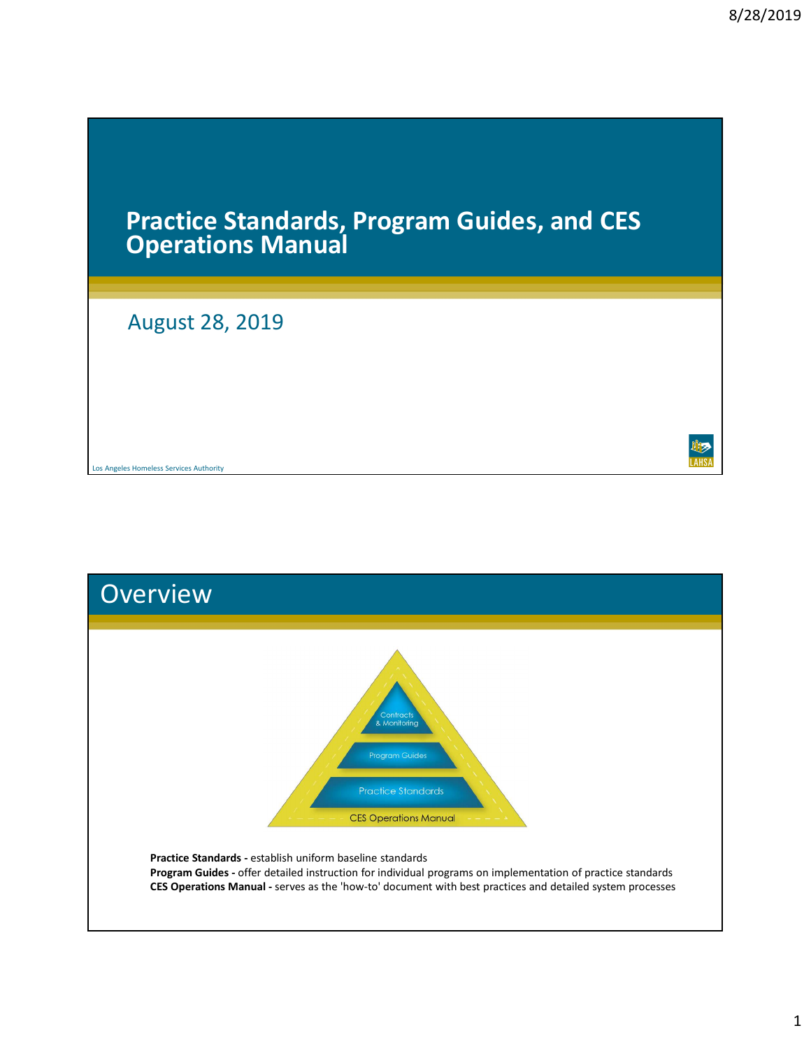# 8/28/2019<br>Practice Standards, Program Guides, and CES<br>Operations Manual<br>August 28, 2019

# August 28, 2019

Los Angeles Homeless Services Authority



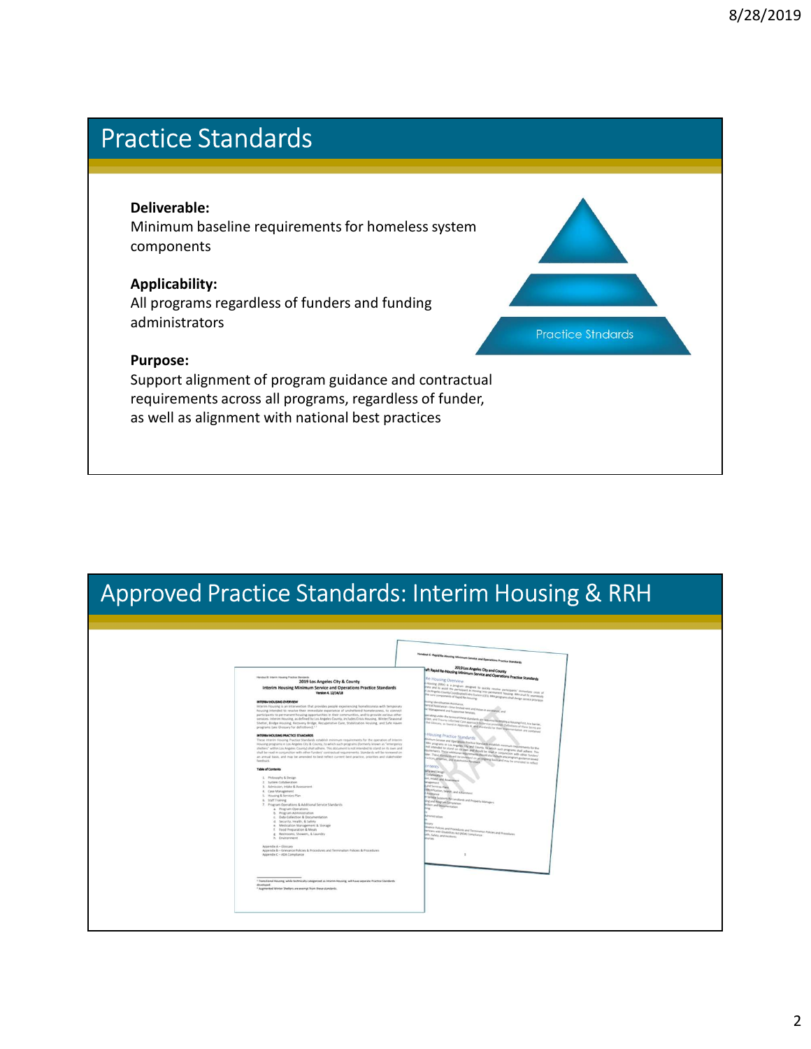# Practice Standards

### Deliverable:

Minimum baseline requirements for homeless system components

## Applicability:

All programs regardless of funders and funding administrators

### Purpose:

Support alignment of program guidance and contractual **Deliverable:**<br>Minimum baseline requirements for homeless system<br>components<br>Applicability:<br>All programs regardless of funders and funding<br>administrators<br>Purpose:<br>Support alignment of programs, regardless of funder,<br>as well **Deliverable:**<br>
Minimum baseline requirements for homeless system<br>
Minimum baseline requirements for homeless system<br> **Applicability:**<br>
All programs regardless of funders and funding<br>
administrators<br>
Purpose:<br>
Support alig

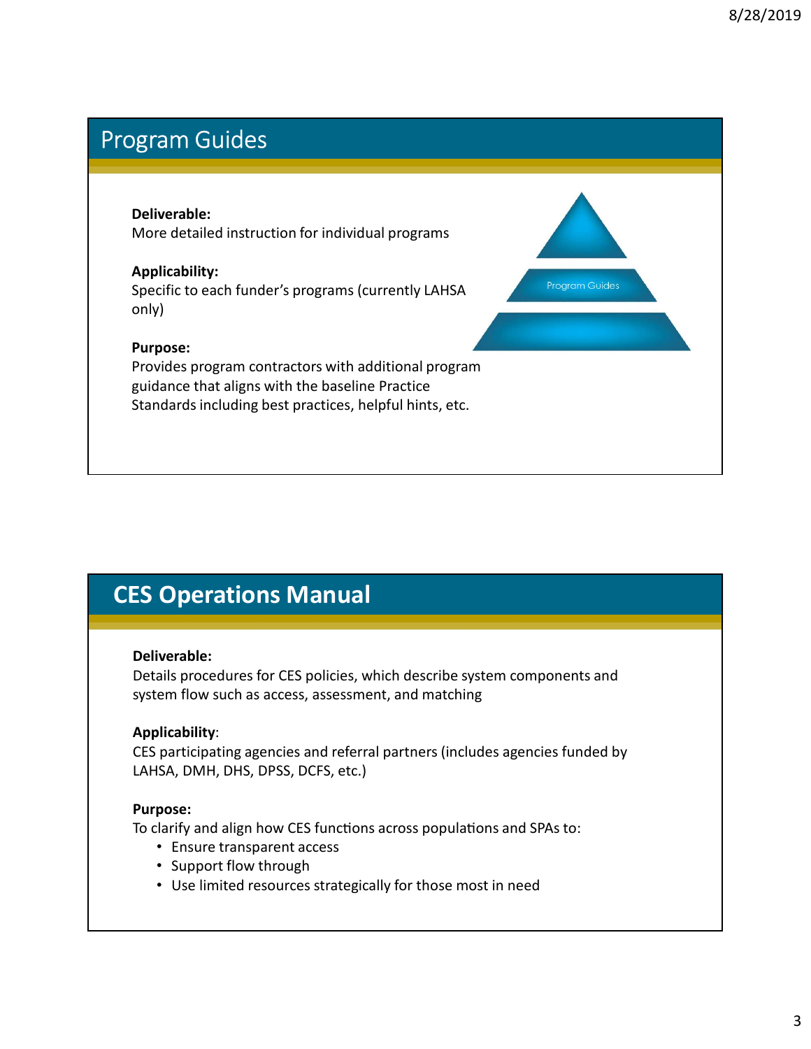# Program Guides

### Deliverable:

More detailed instruction for individual programs

### Applicability:

Specific to each funder's programs (currently LAHSA Program Guides only)

### Purpose:

Provides program contractors with additional program periverable:<br>
More detailed instruction for individual programs<br>
Applicability:<br>
Specific to each funder's programs (currently LAHSA<br>
Practice<br>
Provides program contractors with additional program<br>
Burpose:<br>
Standards incl **Deliverable:**<br>
More detailed instruction for individual programs<br> **Applicability:**<br>
Specific to each funder's programs (currently LAHSA<br>
only)<br>
Purpose:<br>
Provides program contractors with additional program<br>
Provides prog Provides program contractors with additional program<br>guidance that aligns with the baseline Practice<br>Standards including best practices, helpful hints, etc.<br>Castandards including best practices, helpful hints, etc.<br>Details

# CES Operations Manual

### Deliverable:

Details procedures for CES policies, which describe system components and

Standards including best practices, helpful hints, etc.<br> **ES Operations Manual**<br> **Deliverable:**<br>
Details procedures for CES policies, which describe system components and<br>
system flow such as access, assessment, and matchi CES participating agencies and referral partners (includes agencies funded by **ES Operations Manual<br>
Deliverable:**<br>
Details procedures for CES policies, which describe system components and<br>
system flow such as access, assessment, and matching<br> **Applicability:**<br>
CES participating agencies and referr **Conduct access • Ensure transparent access**<br>Figure For CES policies, which describe system components and<br>ener flow such as access, assessment, and matching<br>plicability:<br>participating agencies and referral partners (inclu

### Purpose:

To clarify and align how CES functions across populations and SPAs to:

- 
- 
-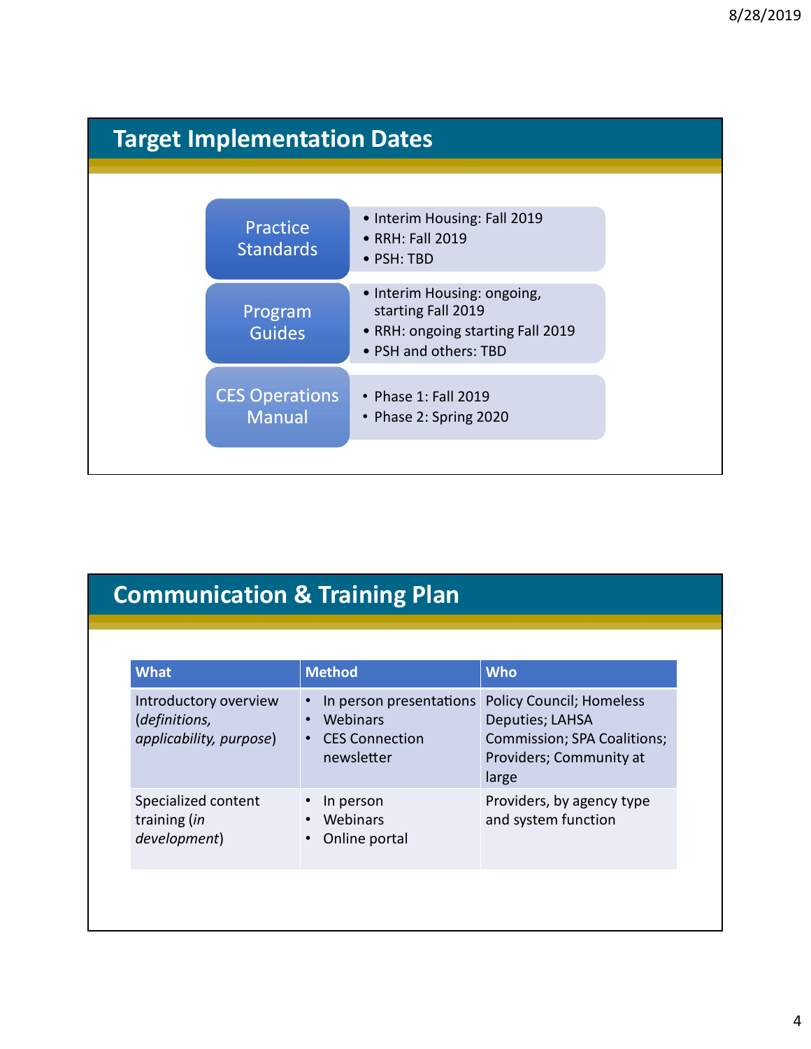|                                        |                                                                                                                 | 8/28/2019 |
|----------------------------------------|-----------------------------------------------------------------------------------------------------------------|-----------|
|                                        |                                                                                                                 |           |
| <b>Target Implementation Dates</b>     |                                                                                                                 |           |
|                                        |                                                                                                                 |           |
| Practice<br><b>Standards</b>           | • Interim Housing: Fall 2019<br>• RRH: Fall 2019<br>• PSH: TBD                                                  |           |
| Program<br><b>Guides</b>               | • Interim Housing: ongoing,<br>starting Fall 2019<br>• RRH: ongoing starting Fall 2019<br>• PSH and others: TBD |           |
| <b>CES Operations</b><br><b>Manual</b> | • Phase 1: Fall 2019<br>• Phase 2: Spring 2020                                                                  |           |
|                                        |                                                                                                                 |           |

|                                                                   |                                        | • PSH and others: TBD                                                 |                                                                                                                       |
|-------------------------------------------------------------------|----------------------------------------|-----------------------------------------------------------------------|-----------------------------------------------------------------------------------------------------------------------|
|                                                                   | <b>CES Operations</b><br><b>Manual</b> | • Phase 1: Fall 2019<br>• Phase 2: Spring 2020                        |                                                                                                                       |
|                                                                   |                                        |                                                                       |                                                                                                                       |
|                                                                   |                                        | <b>Communication &amp; Training Plan</b>                              |                                                                                                                       |
| <b>What</b>                                                       |                                        | <b>Method</b>                                                         | <b>Who</b>                                                                                                            |
| Introductory overview<br>(definitions,<br>applicability, purpose) | $\bullet$<br>$\bullet$                 | In person presentations<br>Webinars<br>• CES Connection<br>newsletter | <b>Policy Council; Homeless</b><br>Deputies; LAHSA<br>Commission; SPA Coalitions;<br>Providers; Community at<br>large |
| Specialized content<br>training (in<br>development)               | $\bullet$                              | In person<br>• Webinars<br>• Online portal                            | Providers, by agency type<br>and system function                                                                      |
|                                                                   |                                        |                                                                       |                                                                                                                       |